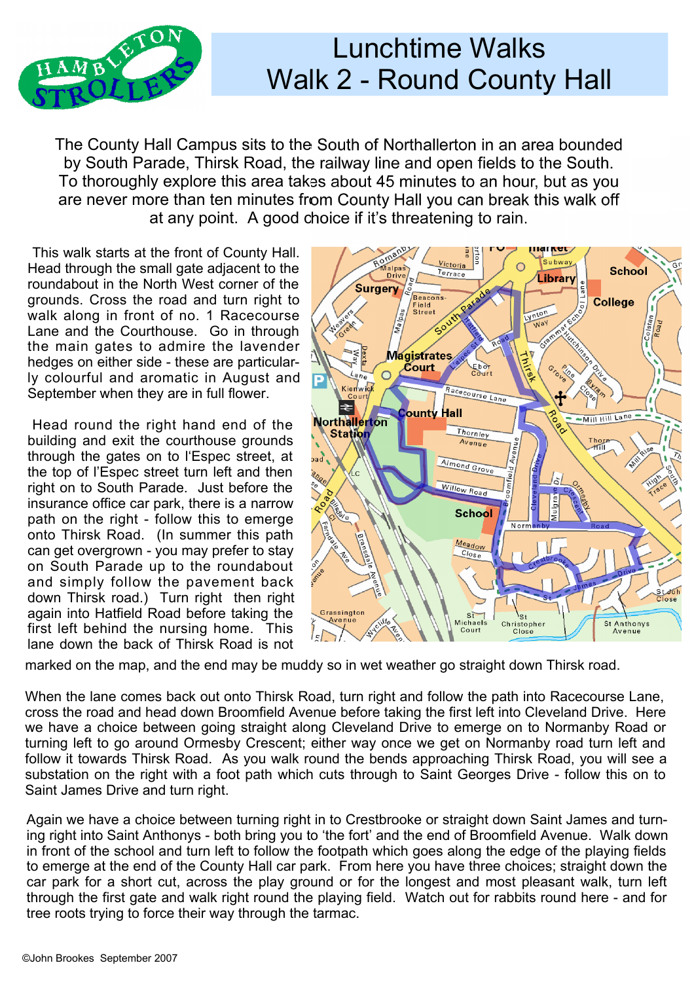

## Lunchtime Walks Walk 2 - Round County Hall

The County Hall Campus sits to the South of Northallerton in an area bounded by South Parade, Thirsk Road, the railway line and open fields to the South. To thoroughly explore this area takes about 45 minutes to an hour, but as you are never more than ten minutes from County Hall you can break this walk off at any point. A good choice if it's threatening to rain.

This walk starts at the front of County Hall. Head through the small gate adjacent to the roundabout in the North West corner of the grounds. Cross the road and turn right to walk along in front of no. 1 Racecourse Lane and the Courthouse. Go in through the main gates to admire the lavender hedges on either side - these are particularly colourful and aromatic in August and September when they are in full flower.

Head round the right hand end of the Northallerton building and exit the courthouse grounds through the gates on to l'Espec street, at the top of l'Espec street turn left and then right on to South Parade. Just before the insurance office car park, there is a narrow path on the right - follow this to emerge onto Thirsk Road. (In summer this path can get overgrown - you may prefer to stay on South Parade up to the roundabout and simply follow the pavement back down Thirsk road.) Turn right then right again into Hatfield Road before taking the first left behind the nursing home. This lane down the back of Thirsk Road is not



marked on the map, and the end may be muddy so in wet weather go straight down Thirsk road.

When the lane comes back out onto Thirsk Road, turn right and follow the path into Racecourse Lane, cross the road and head down Broomfield Avenue before taking the first left into Cleveland Drive. Here we have a choice between going straight along Cleveland Drive to emerge on to Normanby Road or turning left to go around Ormesby Crescent; either way once we get on Normanby road turn left and follow it towards Thirsk Road. As you walk round the bends approaching Thirsk Road, you will see a substation on the right with a foot path which cuts through to Saint Georges Drive - follow this on to Saint James Drive and turn right.

Again we have a choice between turning right in to Crestbrooke or straight down Saint James and turning right into Saint Anthonys - both bring you to 'the fort' and the end of Broomfield Avenue. Walk down in front of the school and turn left to follow the footpath which goes along the edge of the playing fields to emerge at the end of the County Hall car park. From here you have three choices; straight down the car park for a short cut, across the play ground or for the longest and most pleasant walk, turn left through the first gate and walk right round the playing field. Watch out for rabbits round here - and for tree roots trying to force their way through the tarmac.